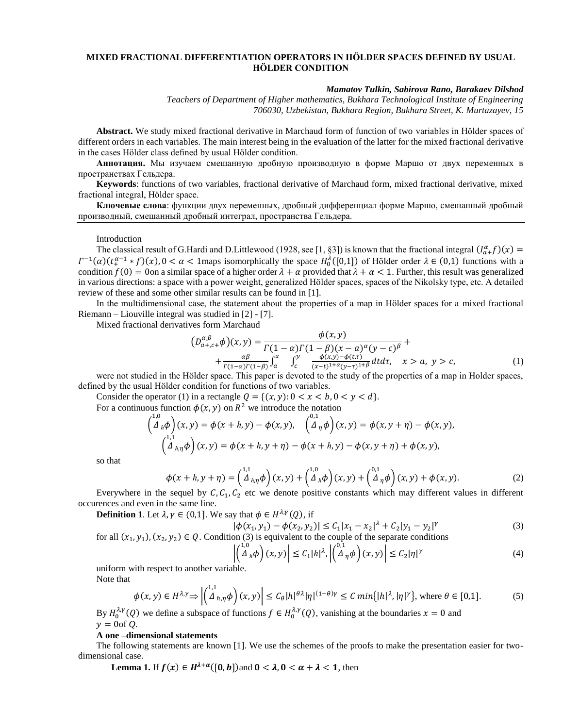# **MIXED FRACTIONAL DIFFERENTIATION OPERATORS IN HÖLDER SPACES DEFINED BY USUAL HÖLDER CONDITION**

### *Mamatov Tulkin, Sabirova Rano, Barakaev Dilshod*

*Teachers of Department of Higher mathematics, Bukhara Technological Institute of Engineering 706030, Uzbekistan, Bukhara Region, Bukhara Street, K. Murtazayev, 15*

**Abstract.** We study mixed fractional derivative in Marchaud form of function of two variables in Hölder spaces of different orders in each variables. The main interest being in the evaluation of the latter for the mixed fractional derivative in the cases Hölder class defined by usual Hölder condition.

**Аннотация.** Мы изучаем смешанную дробную производную в форме Маршо от двух переменных в пространствах Гельдера.

**Keywords**: functions of two variables, fractional derivative of Marchaud form, mixed fractional derivative, mixed fractional integral, Hölder space.

**Ключевые слова**: функции двух переменных, дробный дифференциал форме Маршо, смешанный дробный производный, смешанный дробный интеграл, пространства Гельдера.

Introduction

The classical result of G.Hardi and D.Littlewood (1928, see [1, §3]) is known that the fractional integral  $(I_{a}^{\alpha}f)(x)$  =  $\Gamma^{-1}(\alpha)(t_+^{\alpha-1} * f)(x)$ ,  $0 < \alpha < 1$  maps isomorphically the space  $H_0(\{0,1\})$  of Hölder order  $\lambda \in (0,1)$  functions with a condition  $f(0) = 0$ on a similar space of a higher order  $\lambda + \alpha$  provided that  $\lambda + \alpha < 1$ . Further, this result was generalized in various directions: a space with a power weight, generalized Hölder spaces, spaces of the Nikolsky type, etc. A detailed review of these and some other similar results can be found in [1].

In the multidimensional case, the statement about the properties of a map in Hölder spaces for a mixed fractional Riemann – Liouville integral was studied in [2] - [7].

Mixed fractional derivatives form Marchaud

$$
(D_{a+,c}^{\alpha,\beta} \phi)(x,y) = \frac{\phi(x,y)}{\Gamma(1-\alpha)\Gamma(1-\beta)(x-a)^{\alpha}(y-c)^{\beta}} + \n+ \frac{\alpha\beta}{\Gamma(1-\alpha)\Gamma(1-\beta)} \int_a^x \int_c^y \frac{\phi(x,y)-\phi(t,\tau)}{(x-t)^{1+\alpha}(y-\tau)^{1+\beta}} dt d\tau, \quad x > a, y > c,
$$
\n(1)

were not studied in the Hölder space. This paper is devoted to the study of the properties of a map in Holder spaces, defined by the usual Hölder condition for functions of two variables.

Consider the operator (1) in a rectangle  $Q = \{(x, y): 0 < x < b, 0 < y < d\}.$ For a continuous function  $\phi(x, y)$  on  $R^2$  we introduce the notation

$$
\begin{pmatrix} 1,0 \\ \Delta_{h}\phi \end{pmatrix}(x,y) = \phi(x+h,y) - \phi(x,y), \quad \begin{pmatrix} 0,1 \\ \Delta_{\eta}\phi \end{pmatrix}(x,y) = \phi(x,y+\eta) - \phi(x,y),
$$

$$
\begin{pmatrix} 1,1 \\ \Delta_{h,\eta}\phi \end{pmatrix}(x,y) = \phi(x+h,y+\eta) - \phi(x+h,y) - \phi(x,y+\eta) + \phi(x,y),
$$

so that

$$
\phi(x+h,y+\eta) = \begin{pmatrix} 1.1 \\ \Delta_{h,\eta}\phi \end{pmatrix}(x,y) + \begin{pmatrix} 1.0 \\ \Delta_h\phi \end{pmatrix}(x,y) + \begin{pmatrix} 0.1 \\ \Delta_{\eta}\phi \end{pmatrix}(x,y) + \phi(x,y). \tag{2}
$$

Everywhere in the sequel by  $C, C_1, C_2$  etc we denote positive constants which may different values in different occurences and even in the same line.

**Definition 1.** Let  $\lambda, \gamma \in (0,1]$ . We say that  $\phi \in H^{\lambda,\gamma}(Q)$ , if

$$
|\phi(x_1, y_1) - \phi(x_2, y_2)| \le C_1 |x_1 - x_2|^{\lambda} + C_2 |y_1 - y_2|^{\gamma}
$$
\n(3)

for all  $(x_1, y_1)$ ,  $(x_2, y_2) \in Q$ . Condition (3) is equivalent to the couple of the separate conditions

$$
\left| \left( \stackrel{1,0}{\Delta}_h \phi \right) (x, y) \right| \le C_1 |h|^{\lambda}, \left| \left( \stackrel{0,1}{\Delta}_\eta \phi \right) (x, y) \right| \le C_2 |\eta|^\gamma \tag{4}
$$

uniform with respect to another variable. Note that

$$
\phi(x, y) \in H^{\lambda, \gamma} \Longrightarrow \left| \begin{pmatrix} 1, 1 \\ \Delta_{h, \eta} \phi \end{pmatrix} (x, y) \right| \le C_{\theta} |h|^{\theta \lambda} |\eta|^{(1 - \theta) \gamma} \le C \min\{|h|^{\lambda}, |\eta|^{\gamma}\}, \text{ where } \theta \in [0, 1]. \tag{5}
$$

By  $H_0^{\lambda,\gamma}(Q)$  we define a subspace of functions  $f \in H_0^{\lambda,\gamma}(Q)$ , vanishing at the boundaries  $x = 0$  and  $y = 0$ of *Q*.

### **A one –dimensional statements**

The following statements are known [1]. We use the schemes of the proofs to make the presentation easier for twodimensional case.

**Lemma 1.** If  $f(x) \in H^{\lambda+\alpha}([0, b])$  and  $0 < \lambda, 0 < \alpha + \lambda < 1$ , then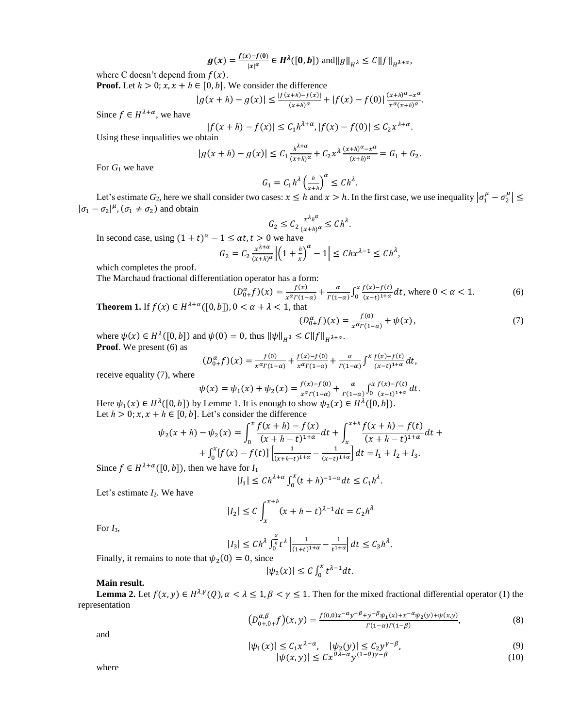$$
g(x) = \frac{f(x) - f(0)}{|x|^\alpha} \in H^{\lambda}([0, b]) \text{ and } ||g||_{H^{\lambda}} \leq C ||f||_{H^{\lambda + \alpha}},
$$

where C doesn't depend from  $f(x)$ .

**Proof.** Let  $h > 0$ ;  $x, x + h \in [0, b]$ . We consider the difference

$$
|g(x+h)-g(x)| \le \frac{|f(x+h)-f(x)|}{(x+h)^\alpha} + |f(x)-f(0)| \frac{(x+h)^\alpha - x^\alpha}{x^\alpha (x+h)^\alpha}.
$$

Since  $f \in H^{\lambda+\alpha}$ , we have

$$
|f(x+h) - f(x)| \le C_1 h^{\lambda + \alpha}, |f(x) - f(0)| \le C_2 x^{\lambda + \alpha}.
$$

Using these inqualities we obtain

$$
|g(x+h) - g(x)| \le C_1 \frac{h^{\lambda + \alpha}}{(x+h)^{\alpha}} + C_2 x^{\lambda} \frac{(x+h)^{\alpha} - x^{\alpha}}{(x+h)^{\alpha}} = G_1 + G_2.
$$

For *G*<sup>1</sup> we have

$$
G_1 = C_1 h^{\lambda} \left( \frac{h}{x+h} \right)^{\alpha} \le C h^{\lambda}.
$$

Let's estimate  $G_2$ , here we shall consider two cases:  $x \leq h$  and  $x > h$ . In the first case, we use inequality  $|\sigma_1^\mu - \sigma_2^\mu| \leq$  $|\sigma_1 - \sigma_2|^\mu$ ,  $(\sigma_1 \neq \sigma_2)$  and obtain

$$
G_2 \le C_2 \frac{x^{\lambda_h \alpha}}{(x+h)^\alpha} \le Ch^\lambda.
$$

In second case, using  $(1 + t)^{\alpha} - 1 \le \alpha t, t > 0$  we have x  $\lambda + \alpha$ *ℎ*

$$
G_2 = C_2 \frac{x^{\lambda + \alpha}}{(x + h)^{\alpha}} \left| \left( 1 + \frac{h}{x} \right)^{\alpha} - 1 \right| \leq Chx^{\lambda - 1} \leq Ch^{\lambda},
$$

which completes the proof.

The Marchaud fractional differentiation operator has a form:

$$
(D_{0+}^{\alpha}f)(x) = \frac{f(x)}{x^{\alpha}f(1-\alpha)} + \frac{\alpha}{f(1-\alpha)} \int_0^x \frac{f(x)-f(t)}{(x-t)^{1+\alpha}} dt, \text{ where } 0 < \alpha < 1.
$$
 (6)

**Theorem 1.** If  $f(x) \in H^{\lambda+\alpha}([0, b])$ ,  $0 < \alpha + \lambda < 1$ , that

$$
(D_{0+}^{\alpha}f)(x) = \frac{f(0)}{x^{\alpha} \Gamma(1-\alpha)} + \psi(x), \tag{7}
$$

where  $\psi(x) \in H^{\lambda}([0, b])$  and  $\psi(0) = 0$ , thus  $\|\psi\|_{H^{\lambda}} \le C \|f\|_{H^{\lambda+\alpha}}$ . **Proof**. We present (6) as

$$
(D_{0+}^{\alpha}f)(x) = \frac{f^{(0)}}{x^{\alpha}\Gamma(1-\alpha)} + \frac{f(x)-f(0)}{x^{\alpha}\Gamma(1-\alpha)} + \frac{\alpha}{\Gamma(1-\alpha)}\int^x \frac{f(x)-f(t)}{(x-t)^{1+\alpha}}dt,
$$

receive equality (7), where

$$
\psi(x) = \psi_1(x) + \psi_2(x) = \frac{f(x) - f(0)}{x^{\alpha} \Gamma(1 - \alpha)} + \frac{\alpha}{\Gamma(1 - \alpha)} \int_0^x \frac{f(x) - f(t)}{(x - t)^{1 + \alpha}} dt.
$$

Here  $\psi_1(x) \in H^{\lambda}([0, b])$  by Lemme 1. It is enough to show  $\psi_2(x) \in H^{\lambda}([0, b])$ . Let  $h > 0$ ;  $x, x + h \in [0, b]$ . Let's consider the difference

$$
\psi_2(x+h) - \psi_2(x) = \int_0^x \frac{f(x+h) - f(x)}{(x+h-t)^{1+\alpha}} dt + \int_x^{x+h} \frac{f(x+h) - f(t)}{(x+h-t)^{1+\alpha}} dt + \int_0^x [f(x) - f(t)] \left[ \frac{1}{(x+h-t)^{1+\alpha}} - \frac{1}{(x-t)^{1+\alpha}} \right] dt = I_1 + I_2 + I_3.
$$

Since  $f \in H^{\lambda+\alpha}([0, b])$ , then we have for  $I_1$ 

$$
|I_1| \le Ch^{\lambda+\alpha} \int_0^x (t+h)^{-1-\alpha} dt \le C_1 h^{\lambda}.
$$

Let's estimate  $I_2$ . We have

$$
|I_2| \le C \int_x^{x+h} (x+h-t)^{\lambda-1} dt = C_2 h^{\lambda}
$$

For  $I_3$ ,

$$
|I_3| \leq Ch^{\lambda} \int_0^{\frac{x}{h}} t^{\lambda} \left| \frac{1}{(1+t)^{1+\alpha}} - \frac{1}{t^{1+\alpha}} \right| dt \leq C_3 h^{\lambda}.
$$

Finally, it remains to note that  $\psi_2(0) = 0$ , since

$$
|\psi_2(x)| \le C \int_0^x t^{\lambda - 1} dt.
$$

## **Main result.**

**Lemma 2.** Let  $f(x, y) \in H^{\lambda, \gamma}(Q)$ ,  $\alpha < \lambda \leq 1$ ,  $\beta < \gamma \leq 1$ . Then for the mixed fractional differential operator (1) the representation

$$
\left(D_{0+,0+}^{\alpha,\beta}f\right)(x,y) = \frac{f(0,0)x^{-\alpha}y^{-\beta}+y^{-\beta}\psi_1(x)+x^{-\alpha}\psi_2(y)+\psi(x,y)}{r(1-\alpha)r(1-\beta)},\tag{8}
$$

and

$$
|\psi_1(x)| \le C_1 x^{\lambda - \alpha}, \quad |\psi_2(y)| \le C_2 y^{\gamma - \beta},
$$
  
 
$$
|\psi(x, y)| \le C x^{\theta \lambda - \alpha} y^{(1-\theta)\gamma - \beta}
$$
 (9)

where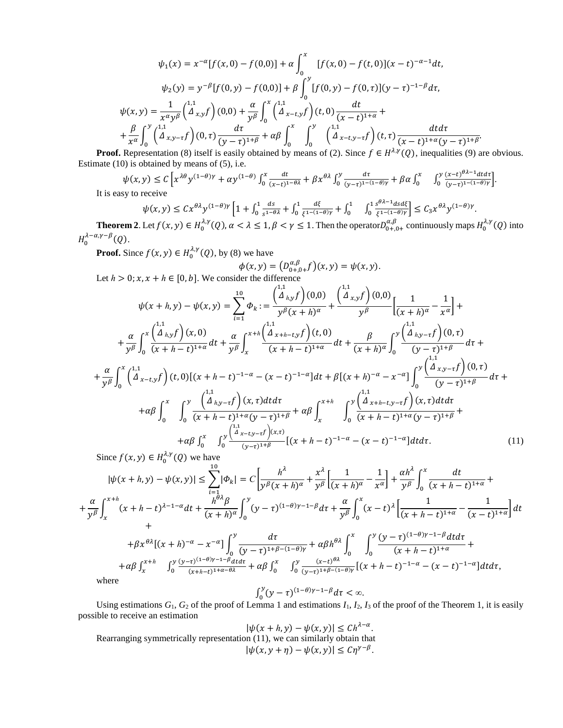$$
\psi_1(x) = x^{-\alpha} [f(x, 0) - f(0, 0)] + \alpha \int_0^x [f(x, 0) - f(t, 0)](x - t)^{-\alpha - 1} dt,
$$
  

$$
\psi_2(y) = y^{-\beta} [f(0, y) - f(0, 0)] + \beta \int_0^y [f(0, y) - f(0, \tau)](y - \tau)^{-1-\beta} d\tau,
$$
  

$$
\psi(x, y) = \frac{1}{x^{\alpha} y^{\beta}} {1 \choose \alpha} \Big( \frac{1}{x} \Big( \frac{1}{y} \Big)^{\alpha} \Big( \frac{1}{y} \Big)^{\alpha} \Big( \frac{1}{x} \Big( \frac{1}{x} \Big) \Big( \frac{1}{x} \Big) \Big( \frac{1}{y} \Big) \Big( \frac{1}{x} \Big) \Big( \frac{1}{y} \Big) \Big( \frac{1}{x} \Big) \Big( \frac{1}{y} \Big)^{\alpha} \Big( \frac{1}{x} \Big( \frac{1}{x} \Big) \Big( \frac{1}{x} \Big) \Big( \frac{1}{x} \Big) \Big( \frac{1}{x} \Big) \Big( \frac{1}{x} \Big) \Big( \frac{1}{x} \Big) \Big( \frac{1}{x} \Big) \Big( \frac{1}{x} \Big) \Big( \frac{1}{x} \Big) \Big( \frac{1}{x} \Big) \Big( \frac{1}{x} \Big) \Big( \frac{1}{x} \Big) \Big( \frac{1}{x} \Big) \Big( \frac{1}{x} \Big) \Big( \frac{1}{x} \Big) \Big( \frac{1}{x} \Big) \Big( \frac{1}{x} \Big) \Big( \frac{1}{x} \Big) \Big( \frac{1}{x} \Big) \Big( \frac{1}{x} \Big) \Big( \frac{1}{x} \Big) \Big( \frac{1}{x} \Big) \Big( \frac{1}{x} \Big) \Big( \frac{1}{x} \Big) \Big( \frac{1}{x} \Big) \Big( \frac{1}{x} \Big) \Big( \frac{1}{x} \Big) \Big( \frac{1}{x} \Big) \Big( \frac{1}{x} \Big) \Big( \frac{1}{x} \Big) \Big( \frac{1}{x} \Big) \Big( \frac{1}{x} \Big) \Big( \frac{1}{x} \Big)
$$

**Proof.** Representation (8) itself is easily obtained by means of (2). Since  $f \in H^{\lambda,\gamma}(Q)$ , inequalities (9) are obvious. Estimate (10) is obtained by means of (5), i.e.

$$
\psi(x,y) \le C \left[ x^{\lambda \theta} y^{(1-\theta)\gamma} + \alpha y^{(1-\theta)} \int_0^x \frac{dt}{(x-t)^{1-\theta \lambda}} + \beta x^{\theta \lambda} \int_0^y \frac{dt}{(y-\tau)^{1-(1-\theta)\gamma}} + \beta \alpha \int_0^x \int_0^y \frac{(x-t)^{\theta \lambda - 1} dt}{(y-\tau)^{1-(1-\theta)\gamma}} \right].
$$
  
is easy to receive

It is easy

$$
\psi(x,y) \leq C x^{\theta \lambda} y^{(1-\theta)\gamma} \left[ 1 + \int_0^1 \frac{ds}{s^{1-\theta \lambda}} + \int_0^1 \frac{d\xi}{\xi^{1-(1-\theta)\gamma}} + \int_0^1 \int_0^1 \frac{s^{\theta \lambda - 1} ds d\xi}{\xi^{1-(1-\theta)\gamma}} \right] \leq C_3 x^{\theta \lambda} y^{(1-\theta)\gamma}.
$$

**Theorem 2**. Let  $f(x, y) \in H_0^{\lambda, \gamma}(Q)$ ,  $\alpha < \lambda \leq 1$ ,  $\beta < \gamma \leq 1$ . Then the operator  $D_{0+,0+}^{\alpha, \beta}$  continuously maps  $H_0^{\lambda, \gamma}(Q)$  into  $H_0^{\lambda-\alpha,\gamma-\beta}(Q)$ .

**Proof.** Since  $f(x, y) \in H_0^{\lambda, \gamma}(Q)$ , by (8) we have

$$
\phi(x,y) = \left(D_{0+,0+}^{\alpha,\beta}f\right)(x,y) = \psi(x,y).
$$

Let 
$$
h > 0
$$
;  $x, x + h \in [0, b]$ . We consider the difference  
\n
$$
\psi(x + h, y) - \psi(x, y) = \sum_{i=1}^{10} \Phi_k := \frac{\begin{pmatrix} 1.1 \\ \Delta_{h,y} f \end{pmatrix}(0,0)}{y^{\beta}(x + h)^{\alpha}} + \frac{\begin{pmatrix} 1.1 \\ \Delta_{x,y} f \end{pmatrix}(0,0)}{y^{\beta}} \Big[ \frac{1}{(x + h)^{\alpha}} - \frac{1}{x^{\alpha}} \Big] + \frac{\alpha}{y^{\beta}} \int_0^x \frac{\begin{pmatrix} 1.1 \\ \Delta_{h,y} f \end{pmatrix}(x,0)}{(x + h - t)^{1 + \alpha}} dt + \frac{\alpha}{y^{\beta}} \int_x^{x + h} \frac{\begin{pmatrix} 1.1 \\ \Delta_{x+h-t,y} f \end{pmatrix}(t,0)}{(x + h - t)^{1 + \alpha}} dt + \frac{\beta}{(x + h)^{\alpha}} \int_0^y \frac{\begin{pmatrix} 1.1 \\ \Delta_{h,y} - f \end{pmatrix}(0,\tau)}{(y - \tau)^{1 + \beta}} d\tau + \frac{\alpha}{y^{\beta}} \int_0^x \begin{pmatrix} \frac{1.1}{\Delta_{x-t,y} f} (t,0) [(x + h - t)^{-1 - \alpha} - (x - t)^{-1 - \alpha}] dt + \beta [(x + h)^{-\alpha} - x^{-\alpha}] \int_0^y \frac{\begin{pmatrix} 1.1 \\ \Delta_{x,y} - f \end{pmatrix}(0,\tau)}{(y - \tau)^{1 + \beta}} d\tau + \frac{\alpha}{y^{\beta}} \int_0^x \int_0^x \frac{\begin{pmatrix} 1.1 \\ \Delta_{h,y} - f \end{pmatrix}(x,\tau) dt d\tau}{(x + h - t)^{1 + \alpha}(y - \tau)^{1 + \beta}} + \alpha \beta \int_x^{x + h} \int_0^y \frac{\begin{pmatrix} 1.1 \\ \Delta_{x+h-t,y} - f \end{pmatrix}(x,\tau) dt d\tau}{(x + h - t)^{1 + \alpha}(y - \tau)^{1 + \beta}} + \alpha \beta \int_0^x \frac{\begin{pmatrix} 1.1 \\ \Delta_{x+h-t,y} - f \end{pmatrix}(x,\tau) dt d\tau}{(y - t)^{1 + \beta}} + \alpha \beta \int_0^x \int_0^y \frac{\begin{pmatrix} 1.1
$$

$$
|\psi(x+h,y) - \psi(x,y)| \leq \sum_{i=1}^{10} |\Phi_k| = C \left[ \frac{h^{\lambda}}{y^{\beta}(x+h)^{\alpha}} + \frac{x^{\lambda}}{y^{\beta}} \left[ \frac{1}{(x+h)^{\alpha}} - \frac{1}{x^{\alpha}} \right] + \frac{\alpha h^{\lambda}}{y^{\beta}} \int_{0}^{x} \frac{dt}{(x+h-t)^{1+\alpha}} + \frac{\alpha}{y^{\beta}} \int_{x}^{x+h} (x+h-t)^{\lambda-1-\alpha} dt + \frac{h^{\beta\lambda}\beta}{(x+h)^{\alpha}} \int_{0}^{y} (y-\tau)^{(1-\theta)\gamma-1-\beta} d\tau + \frac{\alpha}{y^{\beta}} \int_{0}^{x} (x-t)^{\lambda} \left[ \frac{1}{(x+h-t)^{1+\alpha}} - \frac{1}{(x-t)^{1+\alpha}} \right] dt + \frac{\beta}{\beta} \int_{0}^{\beta} \frac{dt}{(y-\tau)^{1+\beta-1-\beta}} + \frac{\alpha}{\beta} \int_{0}^{x} \int_{0}^{x} \frac{y(y-\tau)^{(1-\theta)\gamma-1-\beta}}{(x+h-t)^{1+\alpha}} dt + \frac{\beta}{\beta} \int_{x+h}^{x+h} \int_{0}^{y} \frac{(y-\tau)^{(1-\theta)\gamma-1-\beta}}{(x+h-t)^{1+\alpha-\beta}} dt + \frac{\beta}{\beta} \int_{0}^{x+h} \int_{0}^{y} \frac{(y-\tau)^{(1-\theta)\gamma-1-\beta}}{(y-\tau)^{1+\beta-1-\alpha-\beta}} [x+h-t)^{-1-\alpha} - (x-t)^{-1-\alpha}] dt d\tau, \text{ where}
$$
\n
$$
\int_{0}^{y} (y-\tau)^{(1-\theta)\gamma-1-\beta} d\tau < \infty.
$$

Using estimations  $G_1$ ,  $G_2$  of the proof of Lemma 1 and estimations  $I_1$ ,  $I_2$ ,  $I_3$  of the proof of the Theorem 1, it is easily possible to receive an estimation  $\lambda-\alpha$ 

$$
|\psi(x + h, y) - \psi(x, y)| \le Ch^{\lambda - \alpha}.
$$
  
Rearranging symmetrically representation (11), we can similarly obtain that  

$$
|\psi(x, y + \eta) - \psi(x, y)| \le C\eta^{\gamma - \beta}.
$$